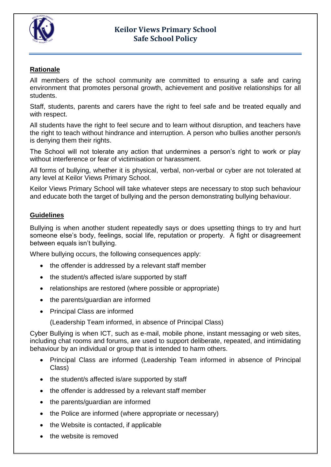

## **Keilor Views Primary School Safe School Policy**

## **Rationale**

All members of the school community are committed to ensuring a safe and caring environment that promotes personal growth, achievement and positive relationships for all students.

Staff, students, parents and carers have the right to feel safe and be treated equally and with respect.

All students have the right to feel secure and to learn without disruption, and teachers have the right to teach without hindrance and interruption. A person who bullies another person/s is denying them their rights.

The School will not tolerate any action that undermines a person's right to work or play without interference or fear of victimisation or harassment.

All forms of bullying, whether it is physical, verbal, non-verbal or cyber are not tolerated at any level at Keilor Views Primary School.

Keilor Views Primary School will take whatever steps are necessary to stop such behaviour and educate both the target of bullying and the person demonstrating bullying behaviour.

### **Guidelines**

Bullying is when another student repeatedly says or does upsetting things to try and hurt someone else's body, feelings, social life, reputation or property. A fight or disagreement between equals isn't bullying.

Where bullying occurs, the following consequences apply:

- the offender is addressed by a relevant staff member
- the student/s affected is/are supported by staff
- relationships are restored (where possible or appropriate)
- the parents/guardian are informed
- Principal Class are informed

(Leadership Team informed, in absence of Principal Class)

Cyber Bullying is when ICT, such as e-mail, mobile phone, instant messaging or web sites, including chat rooms and forums, are used to support deliberate, repeated, and intimidating behaviour by an individual or group that is intended to harm others.

- Principal Class are informed (Leadership Team informed in absence of Principal Class)
- the student/s affected is/are supported by staff
- the offender is addressed by a relevant staff member
- the parents/guardian are informed
- the Police are informed (where appropriate or necessary)
- the Website is contacted, if applicable
- the website is removed